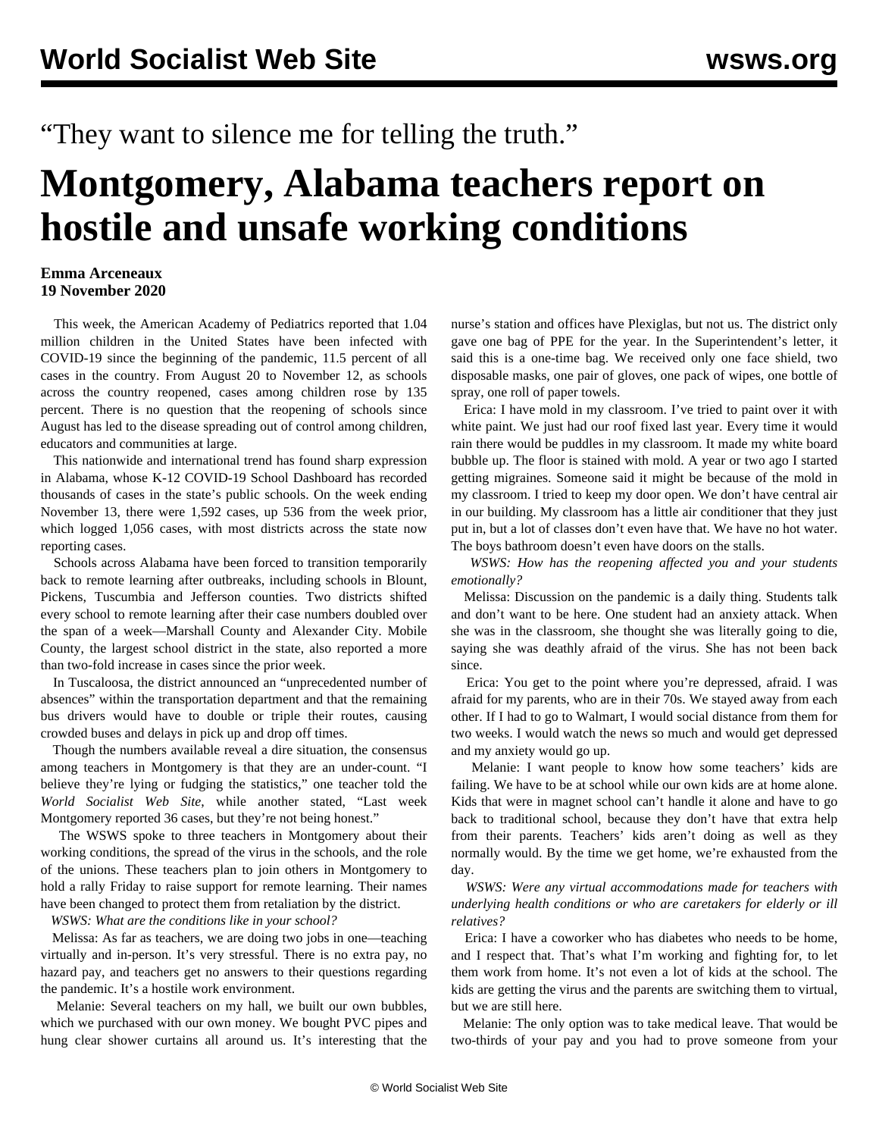## "They want to silence me for telling the truth."

## **Montgomery, Alabama teachers report on hostile and unsafe working conditions**

## **Emma Arceneaux 19 November 2020**

 This week, the American Academy of Pediatrics reported that 1.04 million children in the United States have been infected with COVID-19 since the beginning of the pandemic, 11.5 percent of all cases in the country. From August 20 to November 12, as schools across the country reopened, cases among children rose by 135 percent. There is no question that the reopening of schools since August has led to the disease spreading out of control among children, educators and communities at large.

 This nationwide and international trend has found sharp expression in Alabama, whose K-12 COVID-19 School Dashboard has recorded thousands of cases in the state's public schools. On the week ending November 13, there were 1,592 cases, up 536 from the week prior, which logged 1,056 cases, with most districts across the state now reporting cases.

 Schools across Alabama have been forced to transition temporarily back to remote learning after outbreaks, including schools in Blount, Pickens, Tuscumbia and Jefferson counties. Two districts shifted every school to remote learning after their case numbers doubled over the span of a week—Marshall County and Alexander City. Mobile County, the largest school district in the state, also reported a more than two-fold increase in cases since the prior week.

 In Tuscaloosa, the district announced an "unprecedented number of absences" within the transportation department and that the remaining bus drivers would have to double or triple their routes, causing crowded buses and delays in pick up and drop off times.

 Though the numbers available reveal a dire situation, the consensus among teachers in Montgomery is that they are an under-count. "I believe they're lying or fudging the statistics," one teacher told the *World Socialist Web Site*, while another stated, "Last week Montgomery reported 36 cases, but they're not being honest."

 The WSWS spoke to three teachers in Montgomery about their working conditions, the spread of the virus in the schools, and the role of the unions. These teachers plan to join others in Montgomery to hold a rally Friday to raise support for remote learning. Their names have been changed to protect them from retaliation by the district.

*WSWS: What are the conditions like in your school?*

 Melissa: As far as teachers, we are doing two jobs in one—teaching virtually and in-person. It's very stressful. There is no extra pay, no hazard pay, and teachers get no answers to their questions regarding the pandemic. It's a hostile work environment.

 Melanie: Several teachers on my hall, we built our own bubbles, which we purchased with our own money. We bought PVC pipes and hung clear shower curtains all around us. It's interesting that the

nurse's station and offices have Plexiglas, but not us. The district only gave one bag of PPE for the year. In the Superintendent's letter, it said this is a one-time bag. We received only one face shield, two disposable masks, one pair of gloves, one pack of wipes, one bottle of spray, one roll of paper towels.

 Erica: I have mold in my classroom. I've tried to paint over it with white paint. We just had our roof fixed last year. Every time it would rain there would be puddles in my classroom. It made my white board bubble up. The floor is stained with mold. A year or two ago I started getting migraines. Someone said it might be because of the mold in my classroom. I tried to keep my door open. We don't have central air in our building. My classroom has a little air conditioner that they just put in, but a lot of classes don't even have that. We have no hot water. The boys bathroom doesn't even have doors on the stalls.

 *WSWS: How has the reopening affected you and your students emotionally?*

 Melissa: Discussion on the pandemic is a daily thing. Students talk and don't want to be here. One student had an anxiety attack. When she was in the classroom, she thought she was literally going to die, saying she was deathly afraid of the virus. She has not been back since.

 Erica: You get to the point where you're depressed, afraid. I was afraid for my parents, who are in their 70s. We stayed away from each other. If I had to go to Walmart, I would social distance from them for two weeks. I would watch the news so much and would get depressed and my anxiety would go up.

 Melanie: I want people to know how some teachers' kids are failing. We have to be at school while our own kids are at home alone. Kids that were in magnet school can't handle it alone and have to go back to traditional school, because they don't have that extra help from their parents. Teachers' kids aren't doing as well as they normally would. By the time we get home, we're exhausted from the day.

 *WSWS: Were any virtual accommodations made for teachers with underlying health conditions or who are caretakers for elderly or ill relatives?*

 Erica: I have a coworker who has diabetes who needs to be home, and I respect that. That's what I'm working and fighting for, to let them work from home. It's not even a lot of kids at the school. The kids are getting the virus and the parents are switching them to virtual, but we are still here.

 Melanie: The only option was to take medical leave. That would be two-thirds of your pay and you had to prove someone from your